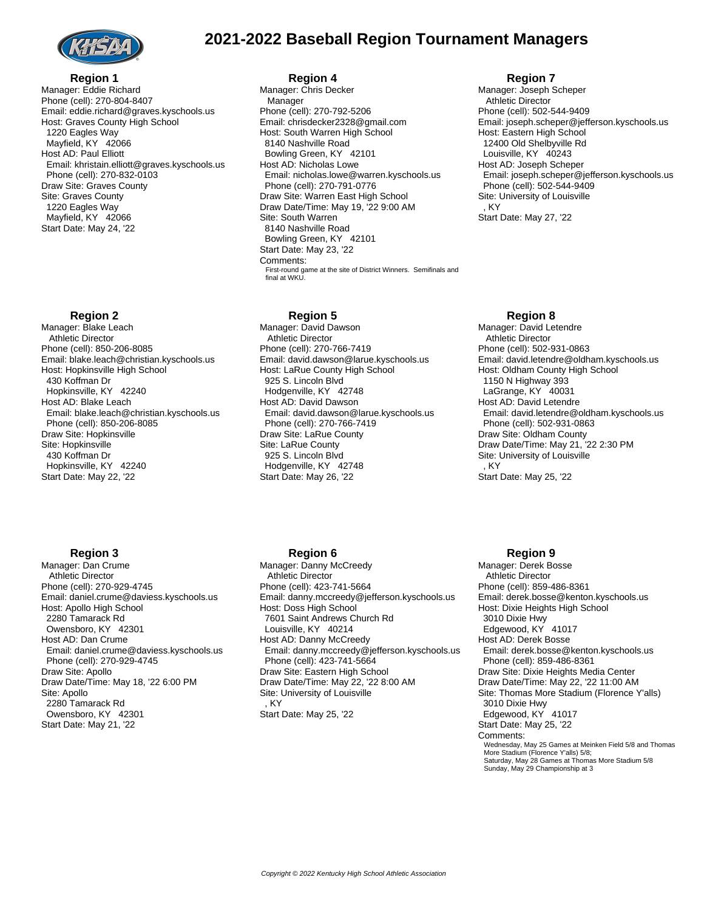

# **2021-2022 Baseball Region Tournament Managers**

#### **Region 1** Manager: Eddie Richard Phone (cell): 270-804-8407 Email: eddie.richard@graves.kyschools.us Host: Graves County High School 1220 Eagles Way Mayfield, KY 42066 Host AD: Paul Elliott Email: khristain.elliott@graves.kyschools.us Phone (cell): 270-832-0103 Draw Site: Graves County Site: Graves County 1220 Eagles Way Mayfield, KY 42066 Start Date: May 24, '22

## **Region 2**

**Region 3** Manager: Dan Crume Athletic Director Phone (cell): 270-929-4745

Host: Apollo High School 2280 Tamarack Rd Owensboro, KY 42301 Host AD: Dan Crume

Phone (cell): 270-929-4745

Draw Site: Apollo

Site: Apollo 2280 Tamarack Rd Owensboro, KY 42301 Start Date: May 21, '22

Manager: Blake Leach Athletic Director Phone (cell): 850-206-8085 Email: blake.leach@christian.kyschools.us Host: Hopkinsville High School 430 Koffman Dr Hopkinsville, KY 42240 Host AD: Blake Leach Email: blake.leach@christian.kyschools.us Phone (cell): 850-206-8085 Draw Site: Hopkinsville Site: Hopkinsville 430 Koffman Dr Hopkinsville, KY 42240 Start Date: May 22, '22

Email: daniel.crume@daviess.kyschools.us

Email: daniel.crume@daviess.kyschools.us

Draw Date/Time: May 18, '22 6:00 PM

## **Region 4**

Manager: Chris Decker Manager Phone (cell): 270-792-5206 Email: chrisdecker2328@gmail.com Host: South Warren High School 8140 Nashville Road Bowling Green, KY 42101 Host AD: Nicholas Lowe Email: nicholas.lowe@warren.kyschools.us Phone (cell): 270-791-0776 Draw Site: Warren East High School Draw Date/Time: May 19, '22 9:00 AM Site: South Warren 8140 Nashville Road Bowling Green, KY 42101 Start Date: May 23, '22 Comments: First-round game at the site of District Winners. Semifinals and final at WKU.

## **Region 5**

Manager: David Dawson Athletic Director Phone (cell): 270-766-7419 Email: david.dawson@larue.kyschools.us Host: LaRue County High School 925 S. Lincoln Blvd Hodgenville, KY 42748 Host AD: David Dawson Email: david.dawson@larue.kyschools.us Phone (cell): 270-766-7419 Draw Site: LaRue County Site: LaRue County 925 S. Lincoln Blvd Hodgenville, KY 42748 Start Date: May 26, '22

## **Region 6**

Manager: Danny McCreedy Athletic Director Phone (cell): 423-741-5664 Email: danny.mccreedy@jefferson.kyschools.us Host: Doss High School 7601 Saint Andrews Church Rd Louisville, KY 40214 Host AD: Danny McCreedy Email: danny.mccreedy@jefferson.kyschools.us Phone (cell): 423-741-5664 Draw Site: Eastern High School Draw Date/Time: May 22, '22 8:00 AM Site: University of Louisville , KY Start Date: May 25, '22

#### **Region 7**

Manager: Joseph Scheper Athletic Director Phone (cell): 502-544-9409 Email: joseph.scheper@jefferson.kyschools.us Host: Eastern High School 12400 Old Shelbyville Rd Louisville, KY 40243 Host AD: Joseph Scheper Email: joseph.scheper@jefferson.kyschools.us Phone (cell): 502-544-9409 Site: University of Louisville , KY Start Date: May 27, '22

## **Region 8**

Manager: David Letendre Athletic Director Phone (cell): 502-931-0863 Email: david.letendre@oldham.kyschools.us Host: Oldham County High School 1150 N Highway 393 LaGrange, KY 40031 Host AD: David Letendre Email: david.letendre@oldham.kyschools.us Phone (cell): 502-931-0863 Draw Site: Oldham County Draw Date/Time: May 21, '22 2:30 PM Site: University of Louisville , KY Start Date: May 25, '22

## **Region 9**

Manager: Derek Bosse Athletic Director Phone (cell): 859-486-8361 Email: derek.bosse@kenton.kyschools.us Host: Dixie Heights High School 3010 Dixie Hwy Edgewood, KY 41017 Host AD: Derek Bosse Email: derek.bosse@kenton.kyschools.us Phone (cell): 859-486-8361 Draw Site: Dixie Heights Media Center Draw Date/Time: May 22, '22 11:00 AM Site: Thomas More Stadium (Florence Y'alls) 3010 Dixie Hwy Edgewood, KY 41017 Start Date: May 25, '22 Comments: Wednesday, May 25 Games at Meinken Field 5/8 and Thomas More Stadium (Florence Y'alls) 5/8; Saturday, May 28 Games at Thomas More Stadium 5/8 Sunday, May 29 Championship at 3